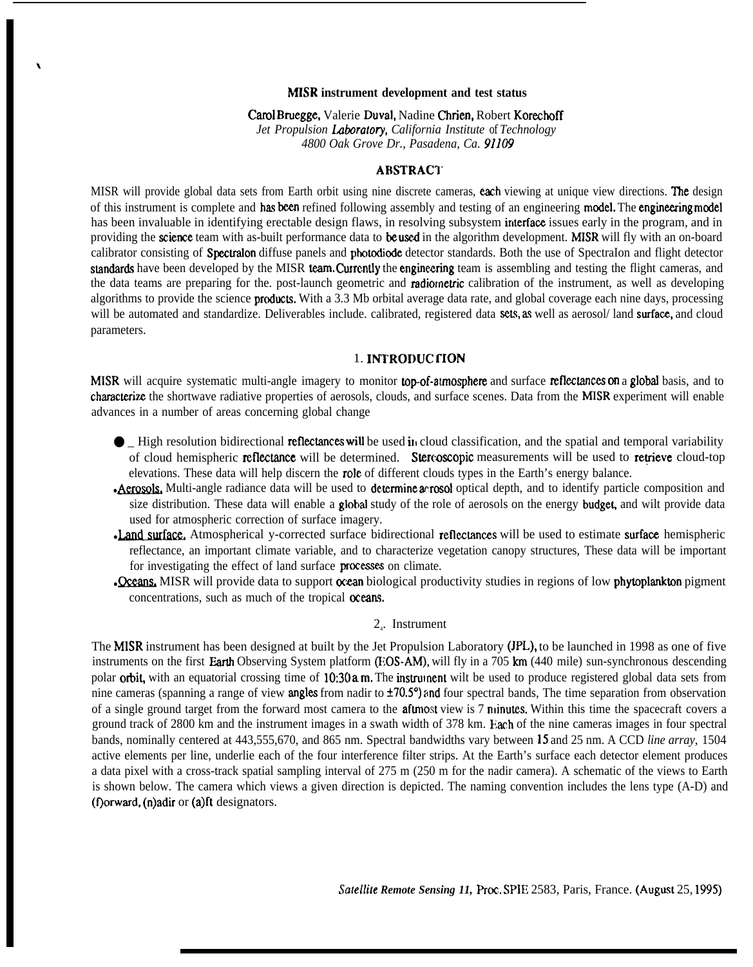#### **MISR instrument development and test status**

Carol Bruegge, Valerie Duval, Nadine Chrien, Robert Korechoff *Jet Propulsion Laboratory, California Institute of Technology 4800 Oak Grove Dr., Pasadena, Ca. 91109*

# ARSTRACI'

MISR will provide global data sets from Earth orbit using nine discrete cameras, each viewing at unique view directions. The design of this instrument is complete and has been refined following assembly and testing of an engineering model. The engineering model has been invaluable in identifying erectable design flaws, in resolving subsystem interface issues early in the program, and in providing the science team with as-built performance data to be used in the algorithm development. MISR will fly with an on-board calibrator consisting of SpectraIon diffuse panels and photodiode detector standards. Both the use of SpectraIon and flight detector standards have been developed by the MISR team. Currently the engineering team is assembling and testing the flight cameras, and the data teams are preparing for the. post-launch geometric and radiometric calibration of the instrument, as well as developing algorithms to provide the science **products.** With a 3.3 Mb orbital average data rate, and global coverage each nine days, processing will be automated and standardize. Deliverables include. calibrated, registered data sets, as well as aerosol/land surface, and cloud parameters.

# 1. INTRODUC FION

MISR will acquire systematic multi-angle imagery to monitor top-of-atmosphere and surface reflectances on a global basis, and to characterize the shortwave radiative properties of aerosols, clouds, and surface scenes. Data from the MISR experiment will enable advances in a number of areas concerning global change

- High resolution bidirectional **reflectances will** be used in cloud classification, and the spatial and temporal variability of cloud hemispheric **reflectance** will be determined. **Stercoscopic** measurements will be used of cloud hemispheric reflectance will be determined. Stereoscopic measurements will be used to retrieve cloud-top elevations. These data will help discern the role of different clouds types in the Earth's energy balance.
- size distribution. These data will enable a **global** study of the role of aerosols on the energy **budget**, and wilt provide data used for atmospheric correction of surface imagery. • Aerosols. Multi-angle radiance data will be used to determine acrosol optical depth, and to identify particle composition and
- reflectance, an important climate variable, and to characterize vegetation canopy structures, These data will be important for investigating the effect of land surface processes on climate. • Land surface. Atmospherical y-corrected surface bidirectional reflectances will be used to estimate surface hemispheric reflectance, an important climate variable, and to characterize vegetation canopy structures, These
- concentrations, such as much of the tropical oceans.

### 24 . Instrument

The MISR instrument has been designed at built by the Jet Propulsion Laboratory (JPL), to be launched in 1998 as one of five instruments on the first Earth Observing System platform (EOS-AM), will fly in a 705 km (440 mile) sun-synchronous descending polar **orbit**, with an equatorial crossing time of 10:30 a.m. The instrument wilt be used to produce registered global data sets from nine cameras (spanning a range of view **angles** from nadir to  $\pm 70.5^{\circ}$ ) and four spectral bands, The time separation from observation of a single ground target from the forward most camera to the **aftmost** view is 7 minutes. Within this time the spacecraft covers a ground track of 2800 km and the instrument images in a swath width of 378 km. Fach of the nine cameras images in four spectral bands, nominally centered at 443,555,670, and 865 nm. Spectral bandwidths vary between 15 and 25 nm. A CCD *line array,* 1504 active elements per line, underlie each of the four interference filter strips. At the Earth's surface each detector element produces a data pixel with a cross-track spatial sampling interval of 275 m (250 m for the nadir camera). A schematic of the views to Earth is shown below. The camera which views a given direction is depicted. The naming convention includes the lens type (A-D) and (f) orward, (n) adir or (a) ft designators.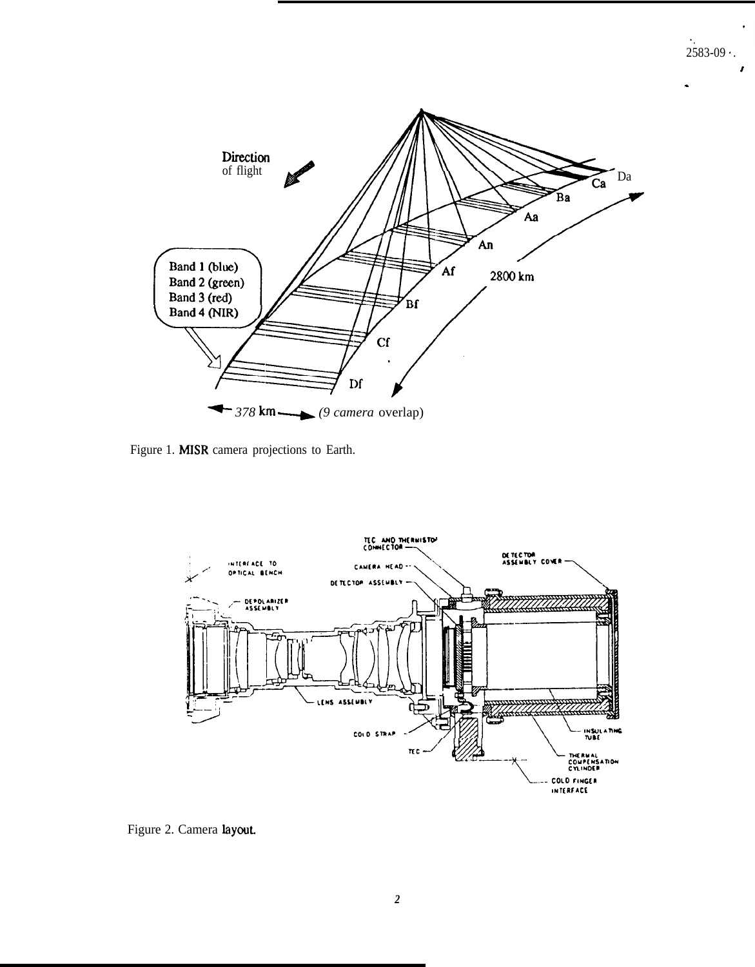

Figure 1. MISR camera projections to Earth.



Figure 2. Camera layout.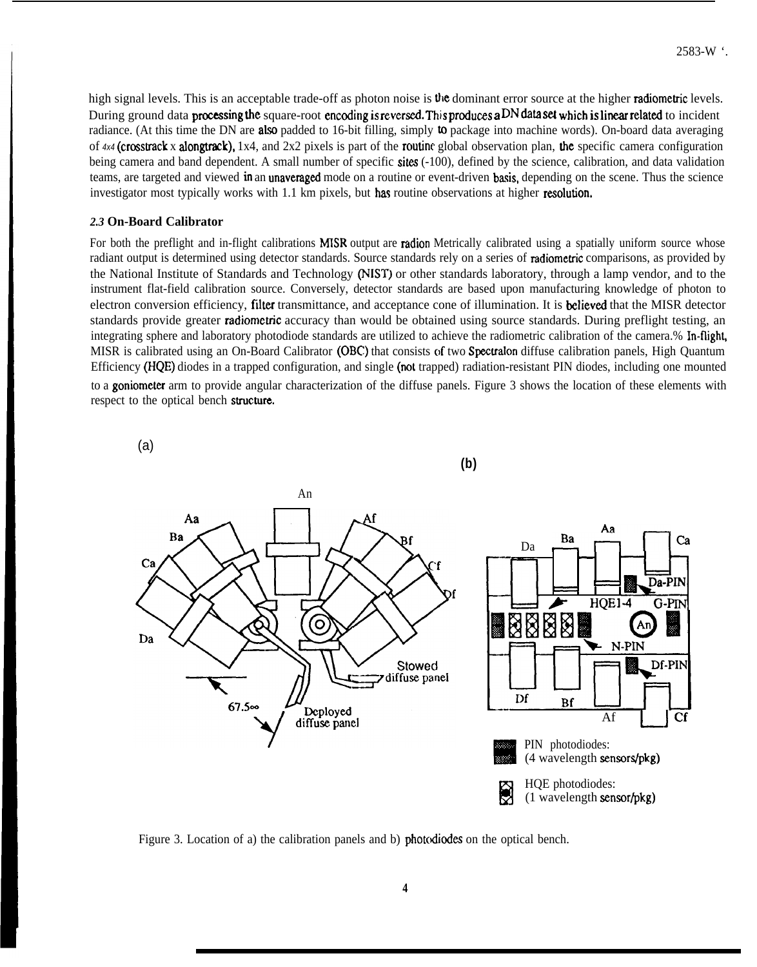high signal levels. This is an acceptable trade-off as photon noise is the dominant error source at the higher radiometric levels. During ground data processing the square-root encoding is reversed. This produces a DN data set which is linear related to incident radiance. (At this time the DN are also padded to 16-bit filling, simply to package into machine words). On-board data averaging of  $4x4$  (crosstrack x alongtrack),  $1x4$ , and  $2x2$  pixels is part of the routing global observation plan, the specific camera configuration being camera and band dependent. A small number of specific sites (-100), defined by the science, calibration, and data validation teams, are targeted and viewed in an unaveraged mode on a routine or event-driven basis, depending on the scene. Thus the science investigator most typically works with 1.1 km pixels, but has routine observations at higher resolution.

### *2.3* **On-Board Calibrator**

For both the preflight and in-flight calibrations **MISR** output are **radion** Metrically calibrated using a spatially uniform source whose radiant output is determined using detector standards. Source standards rely on a series of radiometric comparisons, as provided by the National Institute of Standards and Technology (NIST) or other standards laboratory, through a lamp vendor, and to the instrument flat-field calibration source. Conversely, detector standards are based upon manufacturing knowledge of photon to electron conversion efficiency, filter transmittance, and acceptance cone of illumination. It is **believed** that the MISR detector standards provide greater radiometric accuracy than would be obtained using source standards. During preflight testing, an integrating sphere and laboratory photodiode standards are utilized to achieve the radiometric calibration of the camera.% In-flight, MISR is calibrated using an On-Board Calibrator (OBC) that consists of two Spectralon diffuse calibration panels, High Quantum Efficiency (HQE) diodes in a trapped configuration, and single (not trapped) radiation-resistant PIN diodes, including one mounted to a goniometer arm to provide angular characterization of the diffuse panels. Figure 3 shows the location of these elements with respect to the optical bench structure.



Figure 3. Location of a) the calibration panels and b) photcdiodes on the optical bench.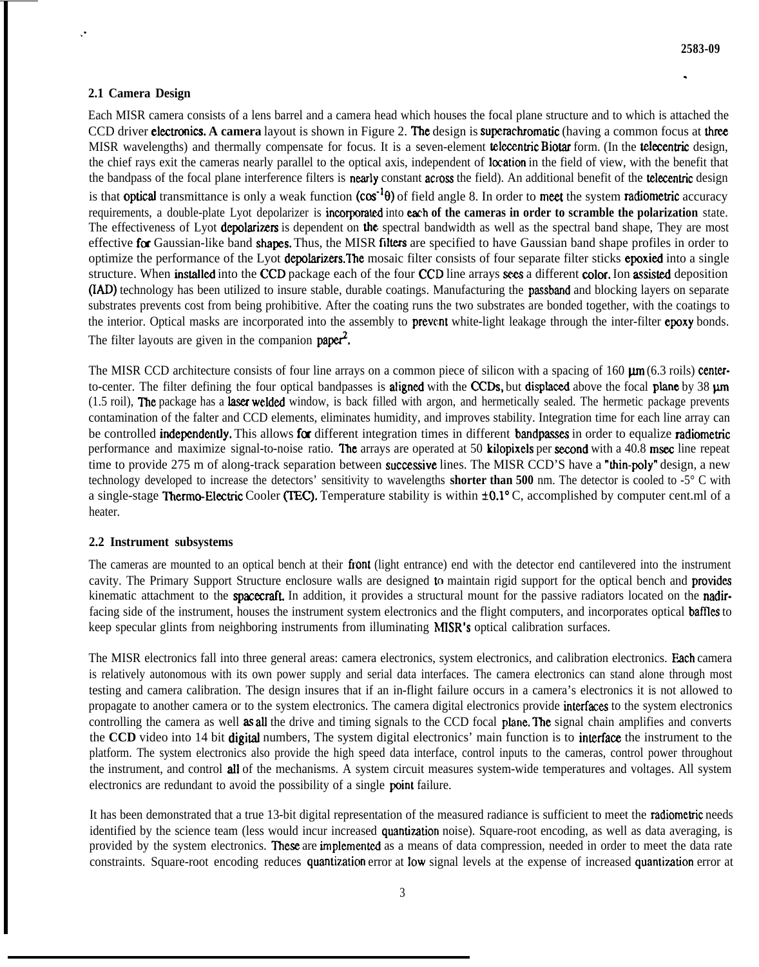# **2.1 Camera Design**

,.

Each MISR camera consists of a lens barrel and a camera head which houses the focal plane structure and to which is attached the CCD driver **electronics. A camera** layout is shown in Figure 2. The design is superachromatic (having a common focus at three MISR wavelengths) and thermally compensate for focus. It is a seven-element **telecentric Biotar** form. (In the **telecentric** design, the chief rays exit the cameras nearly parallel to the optical axis, independent of location in the field of view, with the benefit that the bandpass of the focal plane interference filters is nearly constant across the field). An additional benefit of the *tekentric* design is that **optical** transmittance is only a weak function  $(cos^{-1}\theta)$  of field angle 8. In order to meet the system radiometric accuracy requirements, a double-plate Lyot depolarizer is **incorporated** into **each of the cameras in order to scramble the polarization** state. The effectiveness of Lyot **depolarizers** is dependent on the spectral bandwidth as well as the spectral band shape. They are most effective for Gaussian-like band shapes. Thus, the MISR filters are specified to have Gaussian band shape profiles in order to optimize the performance of the Lyot depolarizers. The mosaic filter consists of four separate filter sticks epoxied into a single structure. When installed into the CCD package each of the four CCD line arrays sees a different color. Ion assisted deposition (IAD) technology has been utilized to insure stable, durable coatings. Manufacturing the passband and blocking layers on separate substrates prevents cost from being prohibitive. After the coating runs the two substrates are bonded together, with the coatings to the interior. Optical masks are incorporated into the assembly to **prevent** white-light leakage through the inter-filter **epoxy** bonds. The filter layouts are given in the companion  $\text{paper}^2$ .

The MISR CCD architecture consists of four line arrays on a common piece of silicon with a spacing of 160  $\mu$ m (6.3 roils) centerto-center. The filter defining the four optical bandpasses is **aligned** with the CCDs, but displaced above the focal plane by  $38 \text{ µm}$ (1.5 roil), The package has a laser welded window, is back filled with argon, and hermetically sealed. The hermetic package prevents contamination of the falter and CCD elements, eliminates humidity, and improves stability. Integration time for each line array can be controlled **independently.** This allows for different integration times in different bandpasses in order to equalize radiometric performance and maximize signal-to-noise ratio. The arrays are operated at 50 kilopixels per second with a  $40.8$  msec line repeat time to provide 275 m of along-track separation between successive lines. The MISR CCD'S have a "thin-poly" design, a new technology developed to increase the detectors' sensitivity to wavelengths **shorter than 500** nm. The detector is cooled to -5° C with a single-stage Thermo-Electric Cooler (TEC). Temperature stability is within  $\pm 0.1$ °C, accomplished by computer cent.ml of a heater.

## **2.2 Instrument subsystems**

The cameras are mounted to an optical bench at their front (light entrance) end with the detector end cantilevered into the instrument cavity. The Primary Support Structure enclosure walls are designed to maintain rigid support for the optical bench and provides kinematic attachment to the **spacecraft**. In addition, it provides a structural mount for the passive radiators located on the **nadir**facing side of the instrument, houses the instrument system electronics and the flight computers, and incorporates optical **baffles** to keep specular glints from neighboring instruments from illuminating **hfISR's** optical calibration surfaces.

The MISR electronics fall into three general areas: camera electronics, system electronics, and calibration electronics. Each camera is relatively autonomous with its own power supply and serial data interfaces. The camera electronics can stand alone through most testing and camera calibration. The design insures that if an in-flight failure occurs in a camera's electronics it is not allowed to propagate to another camera or to the system electronics. The camera digital electronics provide interfaces to the system electronics controlling the camera as well as all the drive and timing signals to the CCD focal plane. The signal chain amplifies and converts the **CCD** video into 14 bit **digital** numbers. The system digital electronics' main function is to interface the instrument to the platform. The system electronics also provide the high speed data interface, control inputs to the cameras, control power throughout the instrument, and control all of the mechanisms. A system circuit measures system-wide temperatures and voltages. All system electronics are redundant to avoid the possibility of a single point failure.

It has been demonstrated that a true 13-bit digital representation of the measured radiance is sufficient to meet the radiometric needs identified by the science team (less would incur increased quantization noise). Square-root encoding, as well as data averaging, is provided by the system electronics. These are implemented as a means of data compression, needed in order to meet the data rate constraints. Square-root encoding reduces quantization error at low signal levels at the expense of increased quantization error at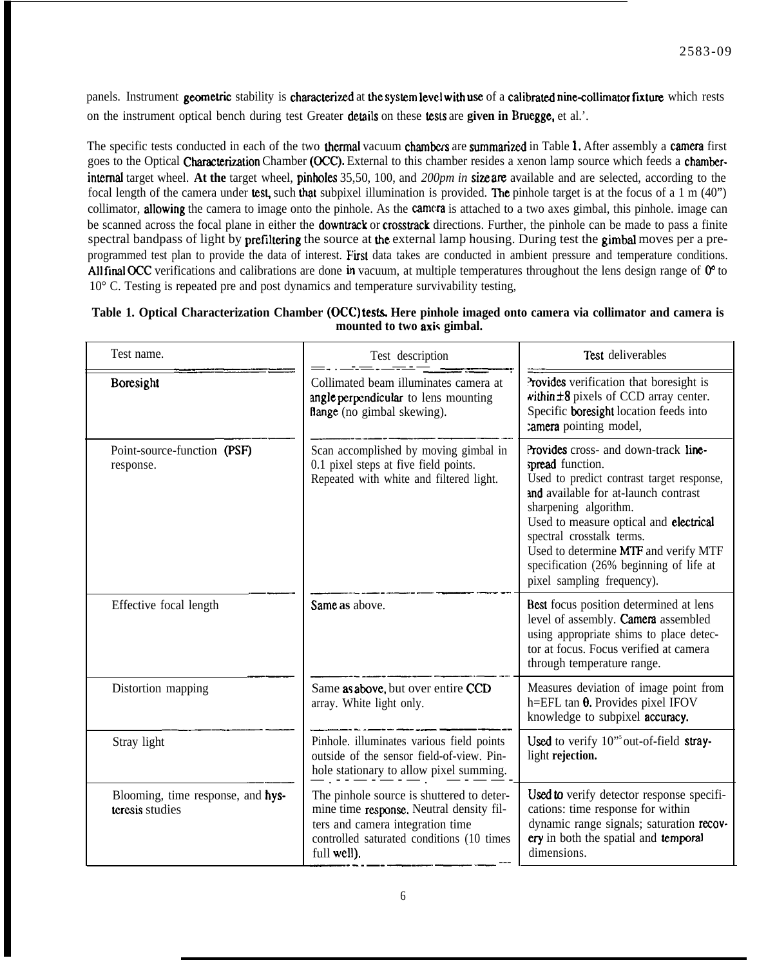panels. Instrument geometric stability is characterized at the system level with use of a calibrated nine-collimator fixture which rests on the instrument optical bench during test Greater details on these tesls are **given in IMuegge,** et al.'.

The specific tests conducted in each of the two **thermal** vacuum **chambers** are **summarized** in Table 1. After assembly a **camera** first goes to the Optical Characterization Chamber (OCC). External to this chamber resides a xenon lamp source which feeds a chamberinternal target wheel. At the target wheel, pinholes 35,50, 100, and 200pm in size are available and are selected, according to the focal length of the camera under test, such that subpixel illumination is provided. The pinhole target is at the focus of a 1 m  $(40")$ collimator, allowing the camera to image onto the pinhole. As the camera is attached to a two axes gimbal, this pinhole, image can be scanned across the focal plane in either the **downtrack** or **crosstrack** directions. Further, the pinhole can be made to pass a finite spectral bandpass of light by prefiltering the source at the external lamp housing. During test the gimbal moves per a preprogrammed test plan to provide the data of interest. First data takes are conducted in ambient pressure and temperature conditions. All final OCC verifications and calibrations are done in vacuum, at multiple temperatures throughout the lens design range of  $0^{\circ}$  to 10° C. Testing is repeated pre and post dynamics and temperature survivability testing,

| Table 1. Optical Characterization Chamber (OCC) tests. Here pinhole imaged onto camera via collimator and camera is |  |                             |  |  |  |  |
|---------------------------------------------------------------------------------------------------------------------|--|-----------------------------|--|--|--|--|
|                                                                                                                     |  | mounted to two axis gimbal. |  |  |  |  |

| Test name.                                           | Test description                                                                                                                                                                      | Test deliverables                                                                                                                                                                                                                                                                                                                                              |
|------------------------------------------------------|---------------------------------------------------------------------------------------------------------------------------------------------------------------------------------------|----------------------------------------------------------------------------------------------------------------------------------------------------------------------------------------------------------------------------------------------------------------------------------------------------------------------------------------------------------------|
| Boresight                                            | Collimated beam illuminates camera at<br>angle perpendicular to lens mounting<br>flange (no gimbal skewing).                                                                          | Provides verification that boresight is<br>within ±8 pixels of CCD array center.<br>Specific boresight location feeds into<br>camera pointing model,                                                                                                                                                                                                           |
| Point-source-function (PSF)<br>response.             | Scan accomplished by moving gimbal in<br>0.1 pixel steps at five field points.<br>Repeated with white and filtered light.                                                             | Provides cross- and down-track line-<br>spread function.<br>Used to predict contrast target response,<br>and available for at-launch contrast<br>sharpening algorithm.<br>Used to measure optical and electrical<br>spectral crosstalk terms.<br>Used to determine MTF and verify MTF<br>specification (26% beginning of life at<br>pixel sampling frequency). |
| Effective focal length                               | Same as above.                                                                                                                                                                        | Best focus position determined at lens<br>level of assembly. Camera assembled<br>using appropriate shims to place detec-<br>tor at focus. Focus verified at camera<br>through temperature range.                                                                                                                                                               |
| Distortion mapping                                   | Same as above, but over entire CCD<br>array. White light only.                                                                                                                        | Measures deviation of image point from<br>h=EFL tan $\theta$ . Provides pixel IFOV<br>knowledge to subpixel accuracy.                                                                                                                                                                                                                                          |
| Stray light                                          | Pinhole. illuminates various field points<br>outside of the sensor field-of-view. Pin-<br>hole stationary to allow pixel summing.                                                     | Used to verify 10" out-of-field stray-<br>light rejection.                                                                                                                                                                                                                                                                                                     |
| Blooming, time response, and hys-<br>teresis studies | The pinhole source is shuttered to deter-<br>mine time response. Neutral density fil-<br>ters and camera integration time<br>controlled saturated conditions (10 times<br>full well). | Used to verify detector response specifi-<br>cations: time response for within<br>dynamic range signals; saturation recov-<br>ery in both the spatial and temporal<br>dimensions.                                                                                                                                                                              |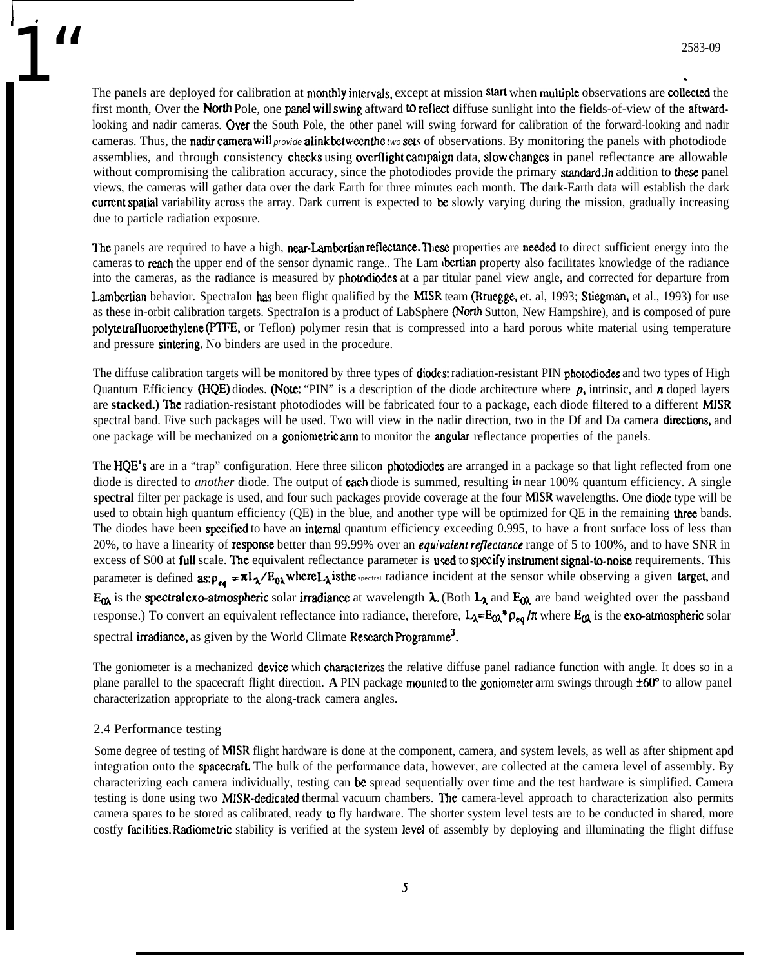2583-09<br>The panels are deployed for calibration at monthly intervals, except at mission start when multiple observations are collected the first month, Over the North Pole, one panel will swing aftward to reflect diffuse sunlight into the fields-of-view of the aftwardlooking and nadir cameras. Over the South Pole, the other panel will swing forward for calibration of the forward-looking and nadir cameras. Thus, the nadir camera will *provide* alink between the two sets of observations. By monitoring the panels with photodiode assemblies, and through consistency **checks** using **overflight campaign** data, **slow** changes in panel reflectance are allowable without compromising the calibration accuracy, since the photodiodes provide the primary standard.In addition to these panel views, the cameras will gather data over the dark Earth for three minutes each month. The dark-Earth data will establish the dark current spatial variability across the array. Dark current is expected to be slowly varying during the mission, gradually increasing due to particle radiation exposure.

> The panels are required to have a high, near-Lambertian reflectance. These properties are needed to direct sufficient energy into the cameras to reach the upper end of the sensor dynamic range.. The Lam **bertian** property also facilitates knowledge of the radiance into the cameras, as the radiance is measured by **photodiodes** at a par titular panel view angle, and corrected for departure from Lambertian behavior. SpectraIon has been flight qualified by the MISR team (Bruegge, et. al, 1993; Stiegman, et al., 1993) for use as these in-orbit calibration targets. SpectraIon is a product of LabSphere (North Sutton, New Hampshire), and is composed of pure polytetrafluoroethylene @TFE, or Teflon) polymer resin that is compressed into a hard porous white material using temperature and pressure sintering. No binders are used in the procedure.

> The diffuse calibration targets will be monitored by three types of **diodes:** radiation-resistant PIN **photodiodes** and two types of High Quantum Efficiency (HQE) diodes. (Note: "PIN" is a description of the diode architecture where  $p$ , intrinsic, and n doped layers are **stacked.) The** radiation-resistant photodiodes will be fabricated four to a package, each diode filtered to a different MISR spectral band. Five such packages will be used. Two will view in the nadir direction, two in the Df and Da camera **directions**, and one package will be mechanized on a **goniometric arm** to monitor the **angular** reflectance properties of the panels.

> The HQE's are in a "trap" configuration. Here three silicon photodiodes are arranged in a package so that light reflected from one diode is directed to *another* diode. The output of **each** diode is summed, resulting in near 100% quantum efficiency. A single spectral filter per package is used, and four such packages provide coverage at the four MISR wavelengths. One diode type will be used to obtain high quantum efficiency  $(QE)$  in the blue, and another type will be optimized for  $QE$  in the remaining three bands. The diodes have been specified to have an internal quantum efficiency exceeding 0.995, to have a front surface loss of less than 20%, to have a linearity of **response** better than 99.99% over an *equivalent reflectance* range of 5 to 100%, and to have SNR in excess of S00 at full scale. The equivalent reflectance parameter is used to specify instrument signal-to-noise requirements. This parameter is defined **as:**  $\rho_{ee} = \pi L_2/E_{0\lambda}$  where  $L_2$  is the spectral radiance incident at the sensor while observing a given target, and  $E_{\alpha}$  is the spectral exo-atmospheric solar irradiance at wavelength  $\lambda$ . (Both  $L_{\lambda}$  and  $E_{\alpha}$  are band weighted over the passband response.) To convert an equivalent reflectance into radiance, therefore,  $L_A = E_0 \lambda^* \rho_{eq} / \pi$  where  $E_{\alpha\alpha}$  is the exo-atmospheric solar spectral irradiance, as given by the World Climate Research Programme<sup>3</sup>.

> The goniometer is a mechanized device which characterizes the relative diffuse panel radiance function with angle. It does so in a plane parallel to the spacecraft flight direction. **A** PIN package mounted to the goniometer arm swings through  $\pm 60^{\circ}$  to allow panel characterization appropriate to the along-track camera angles.

## 2.4 Performance testing

**r**

Some degree of testing of MISR flight hardware is done at the component, camera, and system levels, as well as after shipment apd integration onto the **spacecraft**. The bulk of the performance data, however, are collected at the camera level of assembly. By characterizing each camera individually, testing can be spread sequentially over time and the test hardware is simplified. Camera testing is done using two MISR-dedicated thermal vacuum chambers. The camera-level approach to characterization also permits camera spares to be stored as calibrated, ready to fly hardware. The shorter system level tests are to be conducted in shared, more costfy facilities. Radiometric stability is verified at the system level of assembly by deploying and illuminating the flight diffuse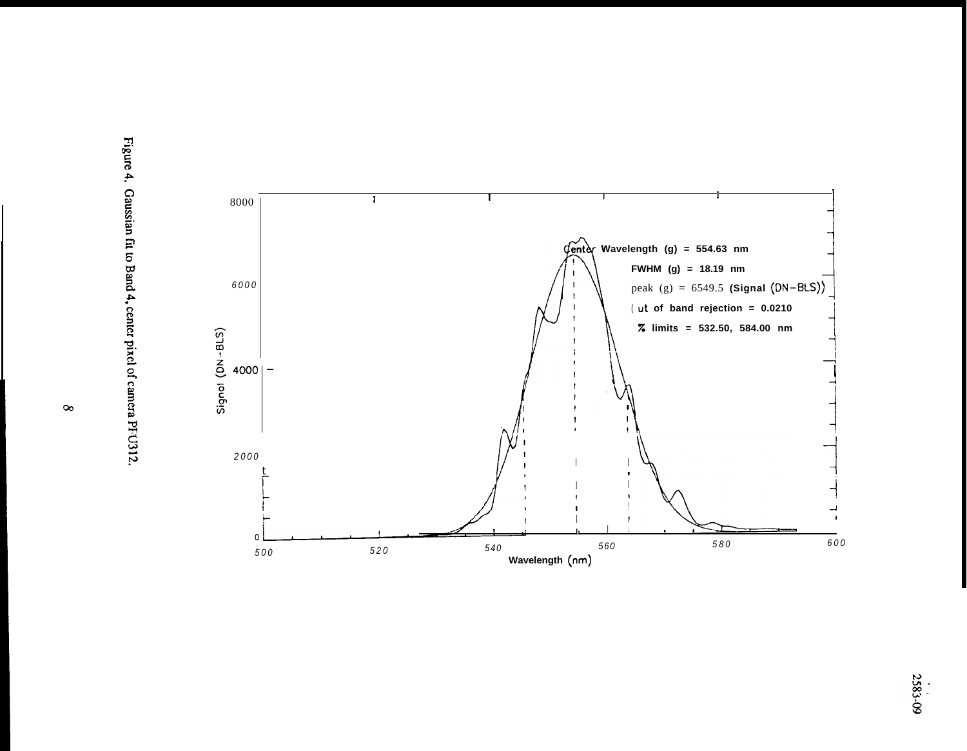

Figure 4. Gaussian fit to Band 4, center pixel of camera PFU312.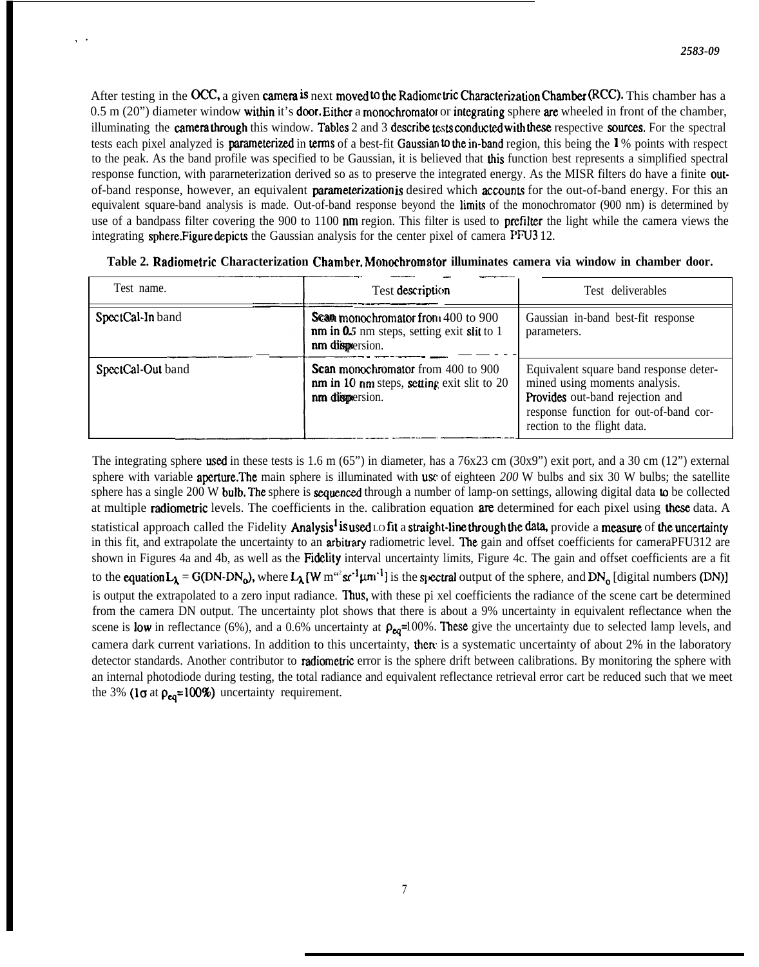After testing in the OCC, a given camera is next moved to the Radiometric Characterization Chamber (RCC). This chamber has a 0.5 m (20") diameter window within it's door. Either a monochromator or integrating sphere are wheeled in front of the chamber, illuminating the camera through this window. Tables  $2$  and  $3$  describe tests conducted with these respective sources. For the spectral tests each pixel analyzed is **parameterized** in **terms** of a best-fit Gaussian<sup>to</sup> the in-band region, this being the  $\frac{1}{2}$  % points with respect to the peak. As the band profile was specified to be Gaussian, it is believed that this function best represents a simplified spectral response function, with pararneterization derived so as to preserve the integrated energy. As the MISR filters do have a finite outof-band response, however, an equivalent *parameterization* is desired which accounts for the out-of-band energy. For this an equivalent square-band analysis is made. Out-of-band response beyond the limits of the monochromator (900 nm) is determined by use of a bandpass filter covering the 900 to 1100 nm region. This filter is used to prefilter the light while the camera views the integrating sphere. Figure depicts the Gaussian analysis for the center pixel of camera PFU3 12.

,.

| Test name.        | Test description                                                                                          | Test deliverables                                                                                                                                                                   |
|-------------------|-----------------------------------------------------------------------------------------------------------|-------------------------------------------------------------------------------------------------------------------------------------------------------------------------------------|
| SpectCal-In band  | Scan monochromator from 400 to 900<br><b>nm</b> in 0.5 nm steps, setting exit slit to 1<br>nm dispersion. | Gaussian in-band best-fit response<br>parameters.                                                                                                                                   |
| SpectCal-Out band | <b>Scan monochromator</b> from 400 to 900<br>nm in 10 nm steps, setting exit slit to 20<br>nm dispersion. | Equivalent square band response deter-<br>mined using moments analysis.<br>Provides out-band rejection and<br>response function for out-of-band cor-<br>rection to the flight data. |

| Table 2. Radiometric Characterization Chamber, Monochromator illuminates camera via window in chamber door. |  |                                                                                                                                                                                                                                                                                                                                                                                                                                                                                             |  |  |  |  |
|-------------------------------------------------------------------------------------------------------------|--|---------------------------------------------------------------------------------------------------------------------------------------------------------------------------------------------------------------------------------------------------------------------------------------------------------------------------------------------------------------------------------------------------------------------------------------------------------------------------------------------|--|--|--|--|
|                                                                                                             |  | $\begin{minipage}{.4\linewidth} \begin{tabular}{l} \hline \multicolumn{3}{l}{} & \multicolumn{3}{l}{} & \multicolumn{3}{l}{} \\ \multicolumn{3}{l}{} & \multicolumn{3}{l}{} & \multicolumn{3}{l}{} \\ \multicolumn{3}{l}{} & \multicolumn{3}{l}{} & \multicolumn{3}{l}{} \\ \multicolumn{3}{l}{} & \multicolumn{3}{l}{} & \multicolumn{3}{l}{} \\ \multicolumn{3}{l}{} & \multicolumn{3}{l}{} & \multicolumn{3}{l}{} \\ \multicolumn{3}{l}{} & \multicolumn{3}{l}{} & \multicolumn{3}{l}{}$ |  |  |  |  |
|                                                                                                             |  |                                                                                                                                                                                                                                                                                                                                                                                                                                                                                             |  |  |  |  |

The integrating sphere used in these tests is 1.6 m (65") in diameter, has a 76x23 cm (30x9") exit port, and a 30 cm (12") external sphere with variable **aperture.The** main sphere is illuminated with use of eighteen 200 W bulbs and six 30 W bulbs; the satellite sphere has a single 200 W bulb. The sphere is sequenced through a number of lamp-on settings, allowing digital data to be collected at multiple **radiometric** levels. The coefficients in the calibration equation **are** determined for each pixel using these data. A statistical approach called the Fidelity Analysis<sup>1</sup> is used Lo fit a straight-line through the data, provide a measure of the uncertainty in this fit, and extrapolate the uncertainty to an **arbitrary** radiometric level. The gain and offset coefficients for cameraPFU312 are shown in Figures 4a and 4b, as well as the Fidelity interval uncertainty limits, Figure 4c. The gain and offset coefficients are a fit to the equation  $L_{\lambda} = G(DN-DN_{o})$ , where  $L_{\lambda} [W m^{2}sr^{1} \mu m^{1}]$  is the spectral output of the sphere, and DN<sub>o</sub> [digital numbers (DN)] is output the extrapolated to a zero input radiance. Thus, with these pi xel coefficients the radiance of the scene cart be determined from the camera DN output. The uncertainty plot shows that there is about a 9% uncertainty in equivalent reflectance when the scene is low in reflectance (6%), and a 0.6% uncertainty at  $\rho_{eq}$ =100%. These give the uncertainty due to selected lamp levels, and camera dark current variations. In addition to this uncertainty, there is a systematic uncertainty of about 2% in the laboratory detector standards. Another contributor to **radiometric** error is the sphere drift between calibrations. By monitoring the sphere with an internal photodiode during testing, the total radiance and equivalent reflectance retrieval error cart be reduced such that we meet the 3% (1 $\sigma$  at  $\rho_{eq}$ =100%) uncertainty requirement.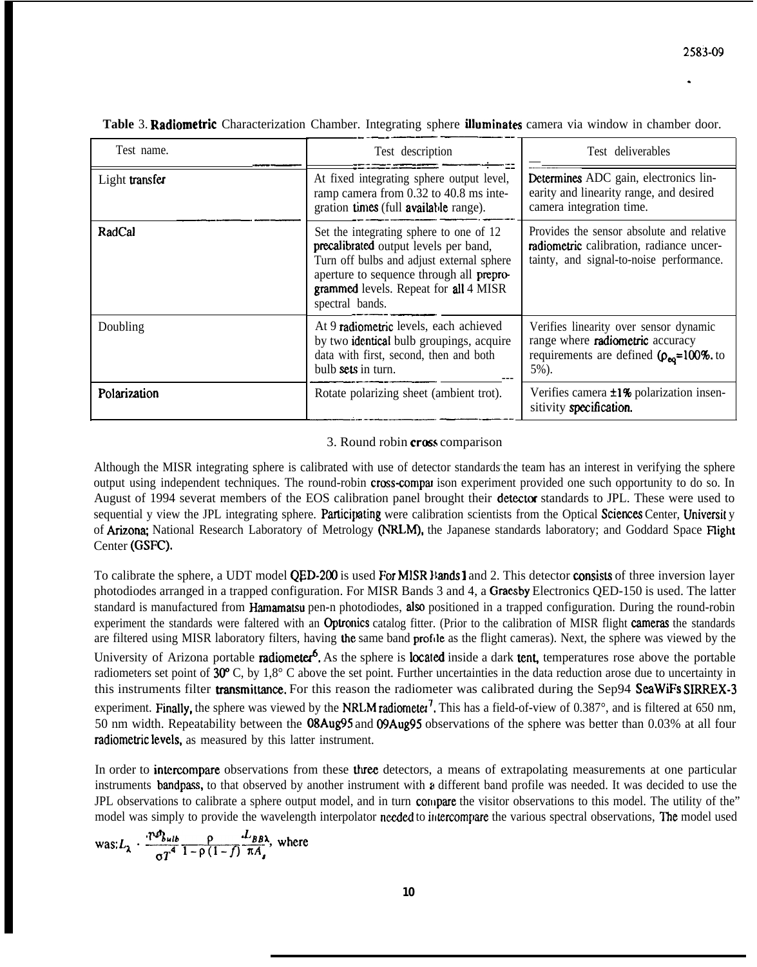| Test name.     | Test description                                                                                                                                                                                                                      | Test deliverables                                                                                                                        |
|----------------|---------------------------------------------------------------------------------------------------------------------------------------------------------------------------------------------------------------------------------------|------------------------------------------------------------------------------------------------------------------------------------------|
| Light transfer | At fixed integrating sphere output level,<br>ramp camera from 0.32 to 40.8 ms inte-<br>gration times (full available range).                                                                                                          | Determines ADC gain, electronics lin-<br>earity and linearity range, and desired<br>camera integration time.                             |
| RadCal         | Set the integrating sphere to one of 12<br>precalibrated output levels per band,<br>Turn off bulbs and adjust external sphere<br>aperture to sequence through all prepro-<br>grammed levels. Repeat for all 4 MISR<br>spectral bands. | Provides the sensor absolute and relative<br>radiometric calibration, radiance uncer-<br>tainty, and signal-to-noise performance.        |
| Doubling       | At 9 radiometric levels, each achieved<br>by two identical bulb groupings, acquire<br>data with first, second, then and both<br>bulb sets in turn.                                                                                    | Verifies linearity over sensor dynamic<br>range where radiometric accuracy<br>requirements are defined $(\rho_{eq} = 100\%$ . to<br>5%). |
| Polarization   | Rotate polarizing sheet (ambient trot).                                                                                                                                                                                               | Verifies camera <b>±1%</b> polarization insen-<br>sitivity specification.                                                                |

Table 3. Radiometric Characterization Chamber. Integrating sphere *illuminates camera via window in chamber door.* 

## 3. Round robin cross comparison

Although the MISR integrating sphere is calibrated with use of detector standards the team has an interest in verifying the sphere output using independent techniques. The round-robin cross-eornpar ison experiment provided one such opportunity to do so. In August of 1994 severat members of the EOS calibration panel brought their detector standards to JPL. These were used to sequential y view the JPL integrating sphere. Participating were calibration scientists from the Optical Sciences Center, University of Arizona; National Research Laboratory of Metrology (NRLM), the Japanese standards laboratory; and Goddard Space Flight Center (GSFC).

To calibrate the sphere, a UDT model QED-200 is used For MISR Bands I and 2. This detector consists of three inversion layer photodiodes arranged in a trapped configuration. For MISR Bands 3 and 4, a Graesby Electronics QED-150 is used. The latter standard is manufactured from Hamamatsu pen-n photodiodes, also positioned in a trapped configuration. During the round-robin experiment the standards were faltered with an Optronics catalog fitter. (Prior to the calibration of MISR flight cameras the standards are filtered using MISR laboratory filters, having the same band profile as the flight cameras). Next, the sphere was viewed by the University of Arizona portable **radiometer<sup>6</sup>**. As the sphere is **located** inside a dark tent, temperatures rose above the portable radiometers set point of 30°C, by 1,8°C above the set point. Further uncertainties in the data reduction arose due to uncertainty in this instruments filter **transmittance**. For this reason the radiometer was calibrated during the Sep94 SeaWiFs SIRREX-3 experiment. Finally, the sphere was viewed by the NRLM radiometer<sup>7</sup>. This has a field-of-view of  $0.387^{\circ}$ , and is filtered at 650 nm, 50 nm width. Repeatability between the 08Aug95 and 09Aug95 observations of the sphere was better than 0.03% at all four radiometric levels, as measured by this latter instrument.

In order to intercompare observations from these three detectors, a means of extrapolating measurements at one particular instruments **bandpass**, to that observed by another instrument with a different band profile was needed. It was decided to use the JPL observations to calibrate a sphere output model, and in turn compare the visitor observations to this model. The utility of the" model was simply to provide the wavelength interpolator needed to intercompare the various spectral observations, The model used

$$
\text{was:}\n\mathcal{L}_{\lambda} \cdot \frac{\text{i}\nabla b_{\text{sub}}}{\sigma T^4} \cdot \frac{\rho}{1 - \rho (1 - f)} \cdot \frac{\text{i}\nabla b \text{a}}{\pi A_s}, \text{ where}
$$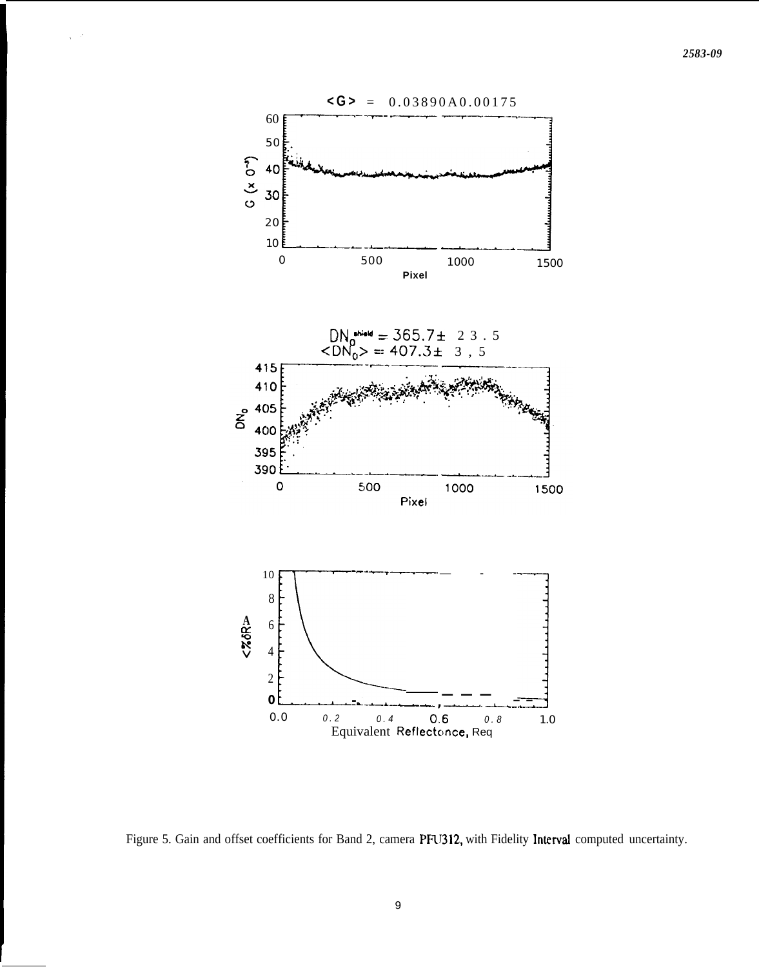

Figure 5. Gain and offset coefficients for Band 2, camera PFU312, with Fidelity Interval computed uncertainty.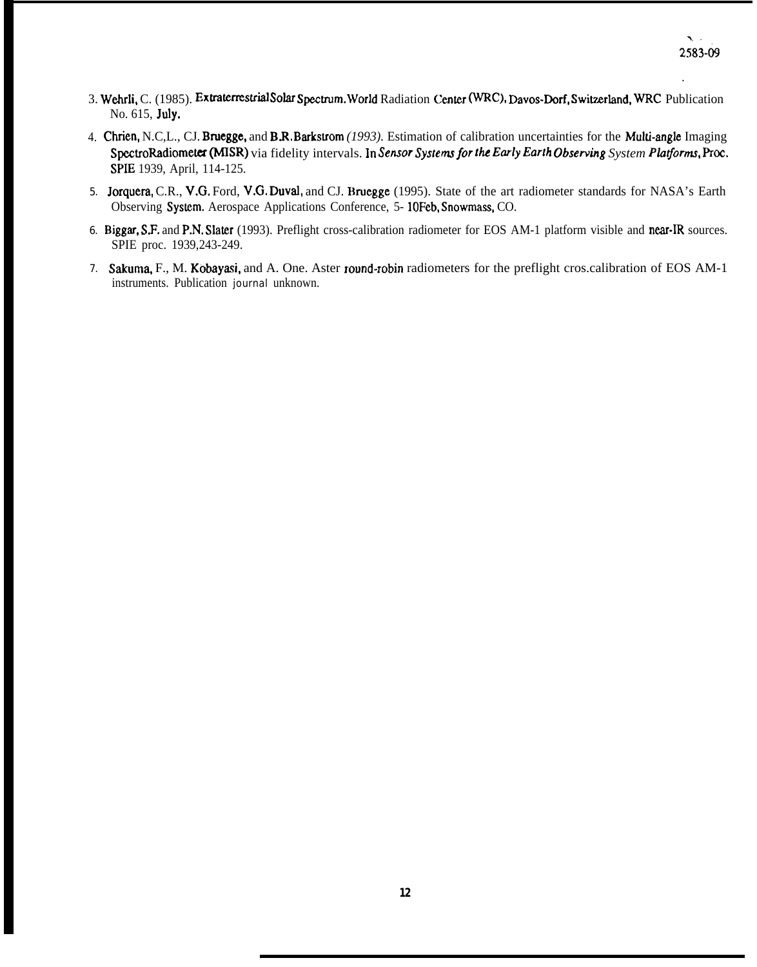- 3. Wehrli, C. (1985). Extraterrestrial Solar Spectrum. World Radiation Center (WRC), Davos-Dorf, Switzerland, WRC Publication No. 615, July.
- 4. Chrien, N.C,L., CJ. Bruegge, and B.R, Barkstrom *(1993).* Estimation of calibration uncertainties for the Muki-angle Imaging SpectroRadiometer (MISR) via fidelity intervals. In Sensor Systems for the Early Earth Observing System Platforms, Proc. SPIE 1939, April, 114-125.
- 5. Jorquera, C.R., V.G. Ford, V.G. Duvzd, and CJ. Bruegge (1995). State of the art radiometer standards for NASA's Earth Observing System. Aerospace Applications Conference, 5-10Feb, Snowmass, CO.
- 6. Biggar, S.F. and P.N. Slater (1993). Preflight cross-calibration radiometer for EOS AM-1 platform visible and near-IR sources. SPIE proc. 1939,243-249.
- 7. Sakuma, F., M. Kobayasi, and A. One. Aster round-robin radiometers for the preflight cros.calibration of EOS AM-1 instruments. Publication journal unknown.